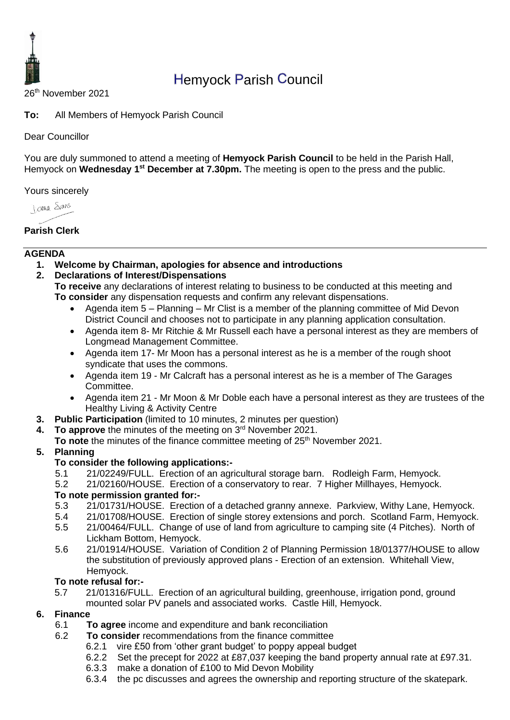

# Hemyock Parish Council

26 th November 2021

**To:** All Members of Hemyock Parish Council

#### Dear Councillor

You are duly summoned to attend a meeting of **Hemyock Parish Council** to be held in the Parish Hall, Hemyock on Wednesday 1<sup>st</sup> December at 7.30pm. The meeting is open to the press and the public.

Yours sincerely

**James** Spans

**Parish Clerk**

#### **AGENDA**

- **1. Welcome by Chairman, apologies for absence and introductions**
- **2. Declarations of Interest/Dispensations**

**To receive** any declarations of interest relating to business to be conducted at this meeting and **To consider** any dispensation requests and confirm any relevant dispensations.

- Agenda item 5 Planning Mr Clist is a member of the planning committee of Mid Devon District Council and chooses not to participate in any planning application consultation.
- Agenda item 8- Mr Ritchie & Mr Russell each have a personal interest as they are members of Longmead Management Committee.
- Agenda item 17- Mr Moon has a personal interest as he is a member of the rough shoot syndicate that uses the commons.
- Agenda item 19 Mr Calcraft has a personal interest as he is a member of The Garages Committee.
- Agenda item 21 Mr Moon & Mr Doble each have a personal interest as they are trustees of the Healthy Living & Activity Centre
- **3. Public Participation** (limited to 10 minutes, 2 minutes per question)
- **4.** To approve the minutes of the meeting on 3<sup>rd</sup> November 2021.
- **To note** the minutes of the finance committee meeting of 25<sup>th</sup> November 2021.

#### **5. Planning**

#### **To consider the following applications:-**

- 5.1 21/02249/FULL. Erection of an agricultural storage barn. Rodleigh Farm, Hemyock.
- 5.2 21/02160/HOUSE. Erection of a conservatory to rear. 7 Higher Millhayes, Hemyock.

#### **To note permission granted for:-**

- 5.3 21/01731/HOUSE. Erection of a detached granny annexe. Parkview, Withy Lane, Hemyock.
- 5.4 21/01708/HOUSE. Erection of single storey extensions and porch. Scotland Farm, Hemyock.
- 5.5 21/00464/FULL. Change of use of land from agriculture to camping site (4 Pitches). North of Lickham Bottom, Hemyock.
- 5.6 21/01914/HOUSE. Variation of Condition 2 of Planning Permission 18/01377/HOUSE to allow the substitution of previously approved plans - Erection of an extension. Whitehall View, Hemyock.

#### **To note refusal for:-**

5.7 21/01316/FULL. Erection of an agricultural building, greenhouse, irrigation pond, ground mounted solar PV panels and associated works. Castle Hill, Hemyock.

#### **6. Finance**

- 6.1 **To agree** income and expenditure and bank reconciliation
- 6.2 **To consider** recommendations from the finance committee
	- 6.2.1 vire £50 from 'other grant budget' to poppy appeal budget
	- 6.2.2 Set the precept for 2022 at £87,037 keeping the band property annual rate at £97.31.<br>6.3.3 make a donation of £100 to Mid Devon Mobility
	- make a donation of £100 to Mid Devon Mobility
	- 6.3.4 the pc discusses and agrees the ownership and reporting structure of the skatepark.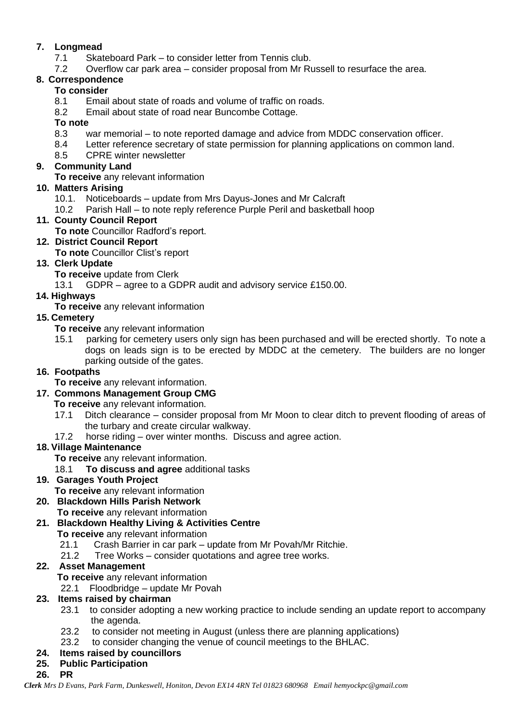#### **7. Longmead**

- 7.1 Skateboard Park to consider letter from Tennis club.
- 7.2 Overflow car park area consider proposal from Mr Russell to resurface the area.

#### **8. Correspondence**

#### **To consider**

- 8.1 Email about state of roads and volume of traffic on roads.
- 8.2 Email about state of road near Buncombe Cottage.

#### **To note**

- 8.3 war memorial to note reported damage and advice from MDDC conservation officer.
- 8.4 Letter reference secretary of state permission for planning applications on common land.
- 8.5 CPRE winter newsletter

#### **9. Community Land**

**To receive** any relevant information

#### **10. Matters Arising**

- 10.1. Noticeboards update from Mrs Dayus-Jones and Mr Calcraft
- 10.2 Parish Hall to note reply reference Purple Peril and basketball hoop

### **11. County Council Report**

**To note** Councillor Radford's report.

### **12. District Council Report**

**To note** Councillor Clist's report

### **13. Clerk Update**

- **To receive** update from Clerk
- 13.1 GDPR agree to a GDPR audit and advisory service £150.00.

### **14. Highways**

**To receive** any relevant information

### **15. Cemetery**

- **To receive** any relevant information
- 15.1 parking for cemetery users only sign has been purchased and will be erected shortly. To note a dogs on leads sign is to be erected by MDDC at the cemetery. The builders are no longer parking outside of the gates.

### **16. Footpaths**

**To receive** any relevant information.

### **17. Commons Management Group CMG**

**To receive** any relevant information.

- 17.1 Ditch clearance consider proposal from Mr Moon to clear ditch to prevent flooding of areas of the turbary and create circular walkway.
- 17.2 horse riding over winter months. Discuss and agree action.

### **18. Village Maintenance**

**To receive** any relevant information.

18.1 **To discuss and agree** additional tasks

### **19. Garages Youth Project**

- **To receive** any relevant information
- **20. Blackdown Hills Parish Network**
	- **To receive** any relevant information

### **21. Blackdown Healthy Living & Activities Centre**

- **To receive** any relevant information
	- 21.1 Crash Barrier in car park update from Mr Povah/Mr Ritchie.
	- 21.2 Tree Works consider quotations and agree tree works.

### **22. Asset Management**

**To receive** any relevant information

22.1 Floodbridge – update Mr Povah

## **23. Items raised by chairman**

- 23.1 to consider adopting a new working practice to include sending an update report to accompany the agenda.
- 23.2 to consider not meeting in August (unless there are planning applications)
- 23.2 to consider changing the venue of council meetings to the BHLAC.

### **24. Items raised by councillors**

**25. Public Participation**

### **26. PR**

*Clerk Mrs D Evans, Park Farm, Dunkeswell, Honiton, Devon EX14 4RN Tel 01823 680968 Email hemyockpc@gmail.com*